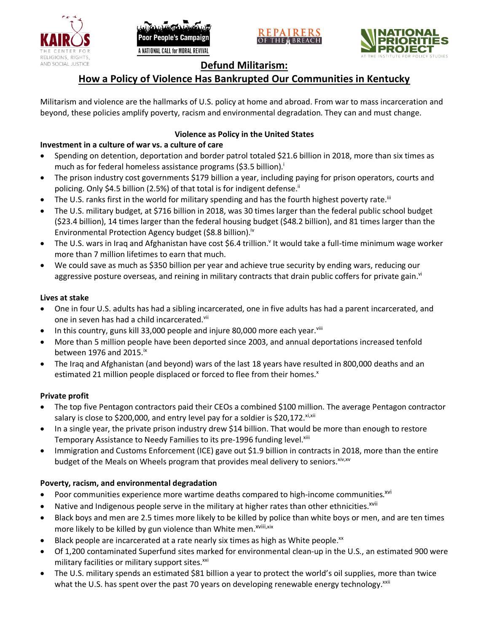





# **Defund Militarism:**

# **How a Policy of Violence Has Bankrupted Our Communities in Kentucky**

Militarism and violence are the hallmarks of U.S. policy at home and abroad. From war to mass incarceration and beyond, these policies amplify poverty, racism and environmental degradation. They can and must change.

# **Violence as Policy in the United States**

# **Investment in a culture of war vs. a culture of care**

- Spending on detention, deportation and border patrol totaled \$21.6 billion in 2018, more than six times as much as for federal homeless assistance programs (\$3.5 billion).<sup>i</sup>
- The prison industry cost governments \$179 billion a year, including paying for prison operators, courts and policing. Only \$4.5 billion (2.5%) of that total is for indigent defense.<sup>ii</sup>
- The U.S. ranks first in the world for military spending and has the fourth highest poverty rate.<sup>iii</sup>
- The U.S. military budget, at \$716 billion in 2018, was 30 times larger than the federal public school budget (\$23.4 billion), 14 times larger than the federal housing budget (\$48.2 billion), and 81 times larger than the Environmental Protection Agency budget (\$8.8 billion).<sup>iv</sup>
- The U.S. wars in Iraq and Afghanistan have cost \$6.4 trillion.<sup>v</sup> It would take a full-time minimum wage worker more than 7 million lifetimes to earn that much.
- We could save as much as \$350 billion per year and achieve true security by ending wars, reducing our aggressive posture overseas, and reining in military contracts that drain public coffers for private gain.<sup>vi</sup>

### **Lives at stake**

- One in four U.S. adults has had a sibling incarcerated, one in five adults has had a parent incarcerated, and one in seven has had a child incarcerated.vii
- In this country, guns kill 33,000 people and injure 80,000 more each year. $v_{\text{lin}}$
- More than 5 million people have been deported since 2003, and annual deportations increased tenfold between 1976 and 2015. $\mathrm{i}$ <sup>x</sup>
- The Iraq and Afghanistan (and beyond) wars of the last 18 years have resulted in 800,000 deaths and an estimated 21 million people displaced or forced to flee from their homes.<sup>x</sup>

## **Private profit**

- The top five Pentagon contractors paid their CEOs a combined \$100 million. The average Pentagon contractor salary is close to \$200,000, and entry level pay for a soldier is \$20,172. xi,xii
- In a single year, the private prison industry drew \$14 billion. That would be more than enough to restore Temporary Assistance to Needy Families to its pre-1996 funding level.<sup>xiii</sup>
- Immigration and Customs Enforcement (ICE) gave out \$1.9 billion in contracts in 2018, more than the entire budget of the Meals on Wheels program that provides meal delivery to seniors. Xiv, XV

## **Poverty, racism, and environmental degradation**

- Poor communities experience more wartime deaths compared to high-income communities.<sup>xvi</sup>
- Native and Indigenous people serve in the military at higher rates than other ethnicities.<sup>xvii</sup>
- Black boys and men are 2.5 times more likely to be killed by police than white boys or men, and are ten times more likely to be killed by gun violence than White men.<sup>xviii,xix</sup>
- Black people are incarcerated at a rate nearly six times as high as White people.<sup>xx</sup>
- Of 1,200 contaminated Superfund sites marked for environmental clean-up in the U.S., an estimated 900 were military facilities or military support sites.<sup>xxi</sup>
- The U.S. military spends an estimated \$81 billion a year to protect the world's oil supplies, more than twice what the U.S. has spent over the past 70 years on developing renewable energy technology.<sup>xxii</sup>